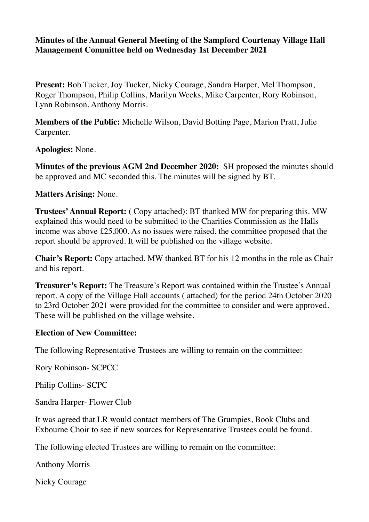# **Minutes of the Annual General Meeting of the Sampford Courtenay Village Hall Management Committee held on Wednesday 1st December 2021**

**Present:** Bob Tucker, Joy Tucker, Nicky Courage, Sandra Harper, Mel Thompson, Roger Thompson, Philip Collins, Marilyn Weeks, Mike Carpenter, Rory Robinson, Lynn Robinson, Anthony Morris.

**Members of the Public:** Michelle Wilson, David Botting Page, Marion Pratt, Julie Carpenter.

**Apologies:** None.

**Minutes of the previous AGM 2nd December 2020:** SH proposed the minutes should be approved and MC seconded this. The minutes will be signed by BT.

**Matters Arising:** None.

**Trustees' Annual Report:** ( Copy attached): BT thanked MW for preparing this. MW explained this would need to be submitted to the Charities Commission as the Halls income was above £25,000. As no issues were raised, the committee proposed that the report should be approved. It will be published on the village website.

**Chair's Report:** Copy attached. MW thanked BT for his 12 months in the role as Chair and his report.

**Treasurer's Report:** The Treasure's Report was contained within the Trustee's Annual report. A copy of the Village Hall accounts ( attached) for the period 24th October 2020 to 23rd October 2021 were provided for the committee to consider and were approved. These will be published on the village website.

# **Election of New Committee:**

The following Representative Trustees are willing to remain on the committee:

Rory Robinson- SCPCC

Philip Collins- SCPC

Sandra Harper- Flower Club

It was agreed that LR would contact members of The Grumpies, Book Clubs and Exbourne Choir to see if new sources for Representative Trustees could be found.

The following elected Trustees are willing to remain on the committee:

Anthony Morris

Nicky Courage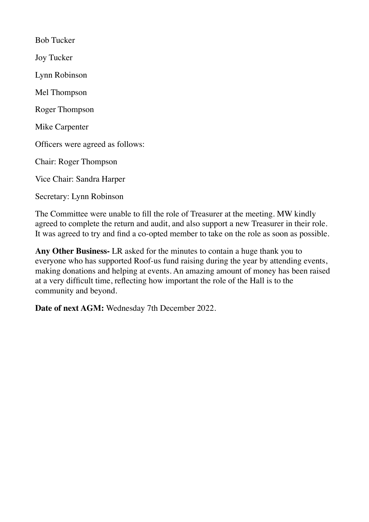Bob Tucker Joy Tucker Lynn Robinson Mel Thompson Roger Thompson Mike Carpenter Officers were agreed as follows: Chair: Roger Thompson Vice Chair: Sandra Harper Secretary: Lynn Robinson

The Committee were unable to fill the role of Treasurer at the meeting. MW kindly agreed to complete the return and audit, and also support a new Treasurer in their role. It was agreed to try and find a co-opted member to take on the role as soon as possible.

**Any Other Business-** LR asked for the minutes to contain a huge thank you to everyone who has supported Roof-us fund raising during the year by attending events, making donations and helping at events. An amazing amount of money has been raised at a very difficult time, reflecting how important the role of the Hall is to the community and beyond.

**Date of next AGM:** Wednesday 7th December 2022.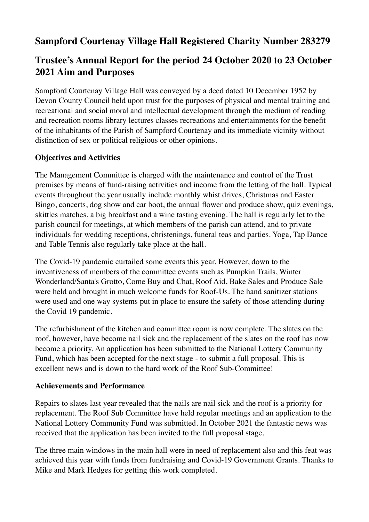# **Sampford Courtenay Village Hall Registered Charity Number 283279**

# **Trustee's Annual Report for the period 24 October 2020 to 23 October 2021 Aim and Purposes**

Sampford Courtenay Village Hall was conveyed by a deed dated 10 December 1952 by Devon County Council held upon trust for the purposes of physical and mental training and recreational and social moral and intellectual development through the medium of reading and recreation rooms library lectures classes recreations and entertainments for the benefit of the inhabitants of the Parish of Sampford Courtenay and its immediate vicinity without distinction of sex or political religious or other opinions.

# **Objectives and Activities**

The Management Committee is charged with the maintenance and control of the Trust premises by means of fund-raising activities and income from the letting of the hall. Typical events throughout the year usually include monthly whist drives, Christmas and Easter Bingo, concerts, dog show and car boot, the annual flower and produce show, quiz evenings, skittles matches, a big breakfast and a wine tasting evening. The hall is regularly let to the parish council for meetings, at which members of the parish can attend, and to private individuals for wedding receptions, christenings, funeral teas and parties. Yoga, Tap Dance and Table Tennis also regularly take place at the hall.

The Covid-19 pandemic curtailed some events this year. However, down to the inventiveness of members of the committee events such as Pumpkin Trails, Winter Wonderland/Santa's Grotto, Come Buy and Chat, Roof Aid, Bake Sales and Produce Sale were held and brought in much welcome funds for Roof-Us. The hand sanitizer stations were used and one way systems put in place to ensure the safety of those attending during the Covid 19 pandemic.

The refurbishment of the kitchen and committee room is now complete. The slates on the roof, however, have become nail sick and the replacement of the slates on the roof has now become a priority. An application has been submitted to the National Lottery Community Fund, which has been accepted for the next stage - to submit a full proposal. This is excellent news and is down to the hard work of the Roof Sub-Committee!

# **Achievements and Performance**

Repairs to slates last year revealed that the nails are nail sick and the roof is a priority for replacement. The Roof Sub Committee have held regular meetings and an application to the National Lottery Community Fund was submitted. In October 2021 the fantastic news was received that the application has been invited to the full proposal stage.

The three main windows in the main hall were in need of replacement also and this feat was achieved this year with funds from fundraising and Covid-19 Government Grants. Thanks to Mike and Mark Hedges for getting this work completed.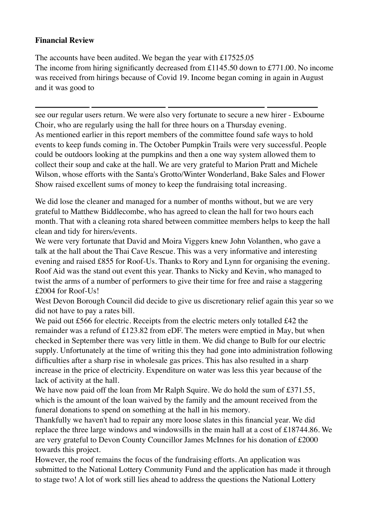# **Financial Review**

The accounts have been audited. We began the year with £17525.05 The income from hiring significantly decreased from £1145.50 down to £771.00. No income was received from hirings because of Covid 19. Income began coming in again in August and it was good to

see our regular users return. We were also very fortunate to secure a new hirer - Exbourne Choir, who are regularly using the hall for three hours on a Thursday evening. As mentioned earlier in this report members of the committee found safe ways to hold events to keep funds coming in. The October Pumpkin Trails were very successful. People could be outdoors looking at the pumpkins and then a one way system allowed them to collect their soup and cake at the hall. We are very grateful to Marion Pratt and Michele Wilson, whose efforts with the Santa's Grotto/Winter Wonderland, Bake Sales and Flower Show raised excellent sums of money to keep the fundraising total increasing.

We did lose the cleaner and managed for a number of months without, but we are very grateful to Matthew Biddlecombe, who has agreed to clean the hall for two hours each month. That with a cleaning rota shared between committee members helps to keep the hall clean and tidy for hirers/events.

We were very fortunate that David and Moira Viggers knew John Volanthen, who gave a talk at the hall about the Thai Cave Rescue. This was a very informative and interesting evening and raised £855 for Roof-Us. Thanks to Rory and Lynn for organising the evening. Roof Aid was the stand out event this year. Thanks to Nicky and Kevin, who managed to twist the arms of a number of performers to give their time for free and raise a staggering £2004 for Roof-Us!

West Devon Borough Council did decide to give us discretionary relief again this year so we did not have to pay a rates bill.

We paid out £566 for electric. Receipts from the electric meters only totalled £42 the remainder was a refund of £123.82 from eDF. The meters were emptied in May, but when checked in September there was very little in them. We did change to Bulb for our electric supply. Unfortunately at the time of writing this they had gone into administration following difficulties after a sharp rise in wholesale gas prices. This has also resulted in a sharp increase in the price of electricity. Expenditure on water was less this year because of the lack of activity at the hall.

We have now paid off the loan from Mr Ralph Squire. We do hold the sum of £371.55, which is the amount of the loan waived by the family and the amount received from the funeral donations to spend on something at the hall in his memory.

Thankfully we haven't had to repair any more loose slates in this financial year. We did replace the three large windows and windowsills in the main hall at a cost of £18744.86. We are very grateful to Devon County Councillor James McInnes for his donation of £2000 towards this project.

However, the roof remains the focus of the fundraising efforts. An application was submitted to the National Lottery Community Fund and the application has made it through to stage two! A lot of work still lies ahead to address the questions the National Lottery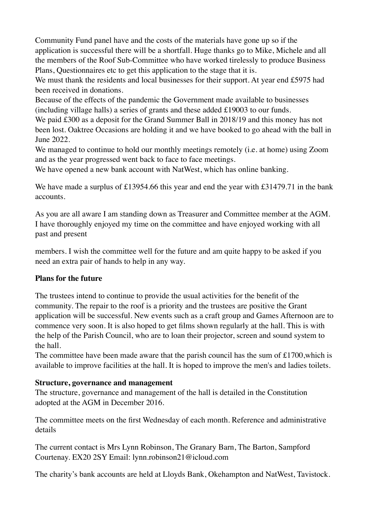Community Fund panel have and the costs of the materials have gone up so if the application is successful there will be a shortfall. Huge thanks go to Mike, Michele and all the members of the Roof Sub-Committee who have worked tirelessly to produce Business Plans, Questionnaires etc to get this application to the stage that it is.

We must thank the residents and local businesses for their support. At year end £5975 had been received in donations.

Because of the effects of the pandemic the Government made available to businesses (including village halls) a series of grants and these added £19003 to our funds.

We paid £300 as a deposit for the Grand Summer Ball in 2018/19 and this money has not been lost. Oaktree Occasions are holding it and we have booked to go ahead with the ball in June 2022.

We managed to continue to hold our monthly meetings remotely (i.e. at home) using Zoom and as the year progressed went back to face to face meetings.

We have opened a new bank account with NatWest, which has online banking.

We have made a surplus of £13954.66 this year and end the year with £31479.71 in the bank accounts.

As you are all aware I am standing down as Treasurer and Committee member at the AGM. I have thoroughly enjoyed my time on the committee and have enjoyed working with all past and present

members. I wish the committee well for the future and am quite happy to be asked if you need an extra pair of hands to help in any way.

# **Plans for the future**

The trustees intend to continue to provide the usual activities for the benefit of the community. The repair to the roof is a priority and the trustees are positive the Grant application will be successful. New events such as a craft group and Games Afternoon are to commence very soon. It is also hoped to get films shown regularly at the hall. This is with the help of the Parish Council, who are to loan their projector, screen and sound system to the hall.

The committee have been made aware that the parish council has the sum of £1700, which is available to improve facilities at the hall. It is hoped to improve the men's and ladies toilets.

# **Structure, governance and management**

The structure, governance and management of the hall is detailed in the Constitution adopted at the AGM in December 2016.

The committee meets on the first Wednesday of each month. Reference and administrative details

The current contact is Mrs Lynn Robinson, The Granary Barn, The Barton, Sampford Courtenay. EX20 2SY Email: lynn.robinson21@icloud.com

The charity's bank accounts are held at Lloyds Bank, Okehampton and NatWest, Tavistock.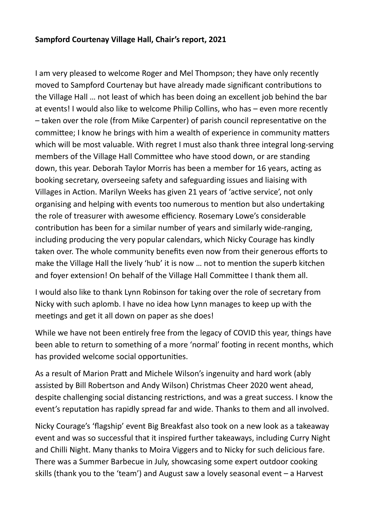# **Sampford Courtenay Village Hall, Chair's report, 2021**

I am very pleased to welcome Roger and Mel Thompson; they have only recently moved to Sampford Courtenay but have already made significant contributions to the Village Hall … not least of which has been doing an excellent job behind the bar at events! I would also like to welcome Philip Collins, who has – even more recently – taken over the role (from Mike Carpenter) of parish council representative on the committee; I know he brings with him a wealth of experience in community matters which will be most valuable. With regret I must also thank three integral long-serving members of the Village Hall Committee who have stood down, or are standing down, this year. Deborah Taylor Morris has been a member for 16 years, acting as booking secretary, overseeing safety and safeguarding issues and liaising with Villages in Action. Marilyn Weeks has given 21 years of 'active service', not only organising and helping with events too numerous to mention but also undertaking the role of treasurer with awesome efficiency. Rosemary Lowe's considerable contribution has been for a similar number of years and similarly wide-ranging, including producing the very popular calendars, which Nicky Courage has kindly taken over. The whole community benefits even now from their generous efforts to make the Village Hall the lively 'hub' it is now … not to mention the superb kitchen and foyer extension! On behalf of the Village Hall Committee I thank them all.

I would also like to thank Lynn Robinson for taking over the role of secretary from Nicky with such aplomb. I have no idea how Lynn manages to keep up with the meetings and get it all down on paper as she does!

While we have not been entirely free from the legacy of COVID this year, things have been able to return to something of a more 'normal' footing in recent months, which has provided welcome social opportunities.

As a result of Marion Pratt and Michele Wilson's ingenuity and hard work (ably assisted by Bill Robertson and Andy Wilson) Christmas Cheer 2020 went ahead, despite challenging social distancing restrictions, and was a great success. I know the event's reputation has rapidly spread far and wide. Thanks to them and all involved.

Nicky Courage's 'flagship' event Big Breakfast also took on a new look as a takeaway event and was so successful that it inspired further takeaways, including Curry Night and Chilli Night. Many thanks to Moira Viggers and to Nicky for such delicious fare. There was a Summer Barbecue in July, showcasing some expert outdoor cooking skills (thank you to the 'team') and August saw a lovely seasonal event – a Harvest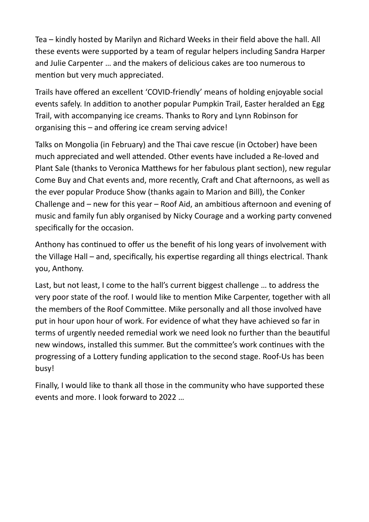Tea – kindly hosted by Marilyn and Richard Weeks in their field above the hall. All these events were supported by a team of regular helpers including Sandra Harper and Julie Carpenter … and the makers of delicious cakes are too numerous to mention but very much appreciated.

Trails have offered an excellent 'COVID-friendly' means of holding enjoyable social events safely. In addition to another popular Pumpkin Trail, Easter heralded an Egg Trail, with accompanying ice creams. Thanks to Rory and Lynn Robinson for organising this – and offering ice cream serving advice!

Talks on Mongolia (in February) and the Thai cave rescue (in October) have been much appreciated and well attended. Other events have included a Re-loved and Plant Sale (thanks to Veronica Matthews for her fabulous plant section), new regular Come Buy and Chat events and, more recently, Craft and Chat afternoons, as well as the ever popular Produce Show (thanks again to Marion and Bill), the Conker Challenge and – new for this year – Roof Aid, an ambitious afternoon and evening of music and family fun ably organised by Nicky Courage and a working party convened specifically for the occasion.

Anthony has continued to offer us the benefit of his long years of involvement with the Village Hall – and, specifically, his expertise regarding all things electrical. Thank you, Anthony.

Last, but not least, I come to the hall's current biggest challenge … to address the very poor state of the roof. I would like to mention Mike Carpenter, together with all the members of the Roof Committee. Mike personally and all those involved have put in hour upon hour of work. For evidence of what they have achieved so far in terms of urgently needed remedial work we need look no further than the beautiful new windows, installed this summer. But the committee's work continues with the progressing of a Lottery funding application to the second stage. Roof-Us has been busy!

Finally, I would like to thank all those in the community who have supported these events and more. I look forward to 2022 …